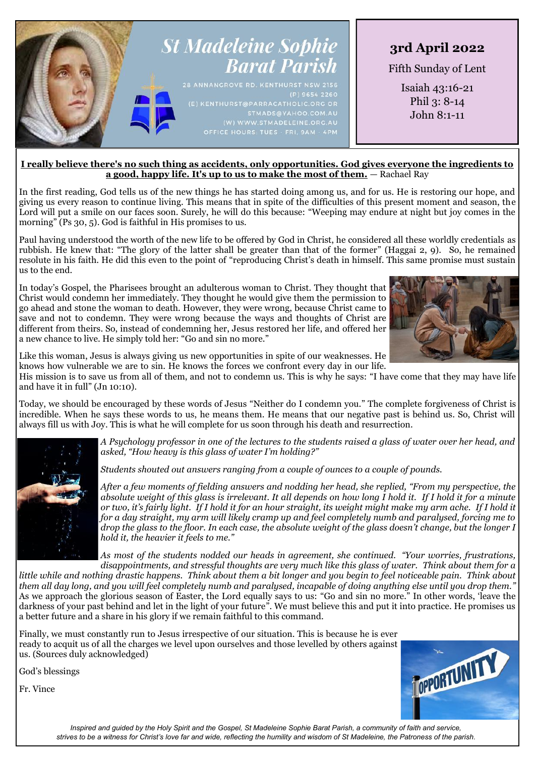

### **I really believe there's no such thing as accidents, only opportunities. God gives everyone the ingredients to a good, happy life. It's up to us to make the most of them.** — Rachael Ray

In the first reading, God tells us of the new things he has started doing among us, and for us. He is restoring our hope, and giving us every reason to continue living. This means that in spite of the difficulties of this present moment and season, the Lord will put a smile on our faces soon. Surely, he will do this because: "Weeping may endure at night but joy comes in the morning" (Ps 30, 5). God is faithful in His promises to us.

Paul having understood the worth of the new life to be offered by God in Christ, he considered all these worldly credentials as rubbish. He knew that: "The glory of the latter shall be greater than that of the former" (Haggai 2, 9). So, he remained resolute in his faith. He did this even to the point of "reproducing Christ's death in himself. This same promise must sustain us to the end.

In today's Gospel, the Pharisees brought an adulterous woman to Christ. They thought that Christ would condemn her immediately. They thought he would give them the permission to go ahead and stone the woman to death. However, they were wrong, because Christ came to save and not to condemn. They were wrong because the ways and thoughts of Christ are different from theirs. So, instead of condemning her, Jesus restored her life, and offered her a new chance to live. He simply told her: "Go and sin no more."



Like this woman, Jesus is always giving us new opportunities in spite of our weaknesses. He knows how vulnerable we are to sin. He knows the forces we confront every day in our life.

His mission is to save us from all of them, and not to condemn us. This is why he says: "I have come that they may have life and have it in full" (Jn 10:10).

Today, we should be encouraged by these words of Jesus "Neither do I condemn you." The complete forgiveness of Christ is incredible. When he says these words to us, he means them. He means that our negative past is behind us. So, Christ will always fill us with Joy. This is what he will complete for us soon through his death and resurrection.

> *A Psychology professor in one of the lectures to the students raised a glass of water over her head, and asked, "How heavy is this glass of water I'm holding?"*

*Students shouted out answers ranging from a couple of ounces to a couple of pounds.*

*After a few moments of fielding answers and nodding her head, she replied, "From my perspective, the absolute weight of this glass is irrelevant. It all depends on how long I hold it. If I hold it for a minute or two, it's fairly light. If I hold it for an hour straight, its weight might make my arm ache. If I hold it for a day straight, my arm will likely cramp up and feel completely numb and paralysed, forcing me to drop the glass to the floor. In each case, the absolute weight of the glass doesn't change, but the longer I hold it, the heavier it feels to me."*

*As most of the students nodded our heads in agreement, she continued. "Your worries, frustrations, disappointments, and stressful thoughts are very much like this glass of water. Think about them for a* 

*little while and nothing drastic happens. Think about them a bit longer and you begin to feel noticeable pain. Think about them all day long, and you will feel completely numb and paralysed, incapable of doing anything else until you drop them."* As we approach the glorious season of Easter, the Lord equally says to us: "Go and sin no more." In other words, 'leave the darkness of your past behind and let in the light of your future". We must believe this and put it into practice. He promises us a better future and a share in his glory if we remain faithful to this command.

Finally, we must constantly run to Jesus irrespective of our situation. This is because he is ever ready to acquit us of all the charges we level upon ourselves and those levelled by others against us. (Sources duly acknowledged)

God's blessings

Fr. Vince



*Inspired and guided by the Holy Spirit and the Gospel, St Madeleine Sophie Barat Parish, a community of faith and service, strives to be a witness for Christ's love far and wide, reflecting the humility and wisdom of St Madeleine, the Patroness of the parish.*

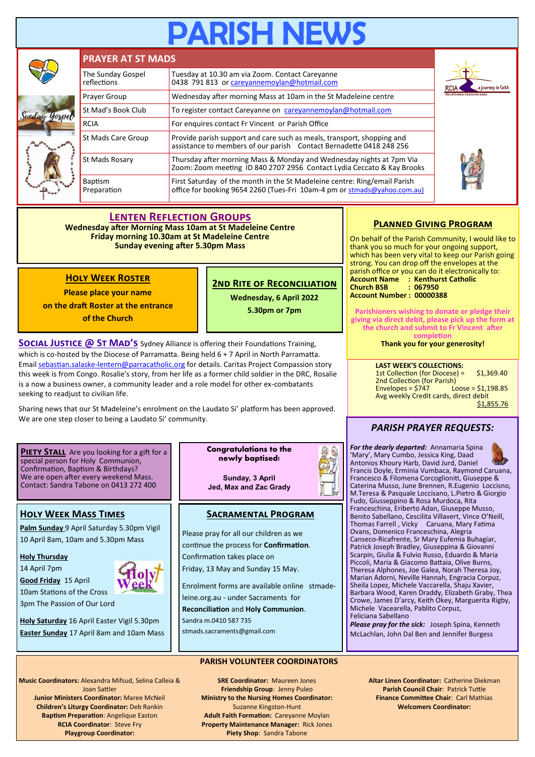# **PARISH NEW**



# **Lenten Reflection Groups**

**Wednesday after Morning Mass 10am at St Madeleine Centre Friday morning 10.30am at St Madeleine Centre Sunday evening after 5.30pm Mass**

# **Holy Week Roster**

**Please place your name** 

**on the draft Roster at the entrance of the Church**

**2nd Rite of Reconciliation Wednesday, 6 April 2022 5.30pm or 7pm**

**SOCIAL JUSTICE @ ST MAD'S** Sydney Alliance is offering their Foundations Training, which is co-hosted by the Diocese of Parramatta. Being held 6 + 7 April in North Parramatta. Email sebastian.salaske-[lentern@parracatholic.org](mailto:sebastian.salaske-lentern@parracatholic.org) for details. Caritas Project Compassion story this week is from Congo. Rosalie's story, from her life as a former child soldier in the DRC, Rosalie is a now a business owner, a community leader and a role model for other ex-combatants seeking to readjust to civilian life.

Sharing news that our St Madeleine's enrolment on the Laudato Si' platform has been approved. We are one step closer to being a Laudato Si' community.

#### **Piety Stall** Are you looking for a gift for a special person for Holy Communion, Confirmation, Baptism & Birthdays? We are open after every weekend Mass. Contact: Sandra Tabone on 0413 272 400

# **Holy Week Mass Times**

**Palm Sunday** 9 April Saturday 5.30pm Vigil 10 April 8am, 10am and 5.30pm Mass

**Holy Thursday** 

14 April 7pm

**Good Friday** 15 April 10am Stations of the Cross



3pm The Passion of Our Lord

**Holy Saturday** 16 April Easter Vigil 5.30pm **Easter Sunday** 17 April 8am and 10am Mass **Congratulations to the newly baptised!**

**Sunday, 3 April Jed, Max and Zac Grady**

# **Sacramental Program**

Please pray for all our children as we continue the process for **Confirmation**. Confirmation takes place on Friday, 13 May and Sunday 15 May.

Enrolment forms are available online stmadeleine.org.au - under Sacraments for **Reconciliation** and **Holy Communion**. Sandra m.0410 587 735

stmads.sacraments@gmail.com

# **PARISH VOLUNTEER COORDINATORS**

**Music Coordinators:** Alexandra Mifsud, Selina Calleia & Joan Sattler **Junior Ministers Coordinator:** Maree McNeil

**Children's Liturgy Coordinator:** Deb Rankin **Baptism Preparation**: Angelique Easton **RCIA Coordinator**: Steve Fry **Playgroup Coordinator:** 

**SRE Coordinator:** Maureen Jones **Friendship Group**: Jenny Puleo **Ministry to the Nursing Homes Coordinator:**  Suzanne Kingston-Hunt **Adult Faith Formation:** Careyanne Moylan **Property Maintenance Manager:** Rick Jones **Piety Shop**: Sandra Tabone

# **Planned Giving Program**

On behalf of the Parish Community, I would like to thank you so much for your ongoing support, which has been very vital to keep our Parish going strong. You can drop off the envelopes at the parish office or you can do it electronically to: **Account Name : Kenthurst Catholic Church BSB : 067950 Account Number : 00000388**

**Parishioners wishing to donate or pledge their giving via direct debit, please pick up the form at the church and submit to Fr Vincent after completion**

**Thank you for your generosity!**

**LAST WEEK'S COLLECTIONS:** 1st Collection (for Diocese) = \$1,369.40 2nd Collection (for Parish)<br>Envelopes = \$747 Lu  $L'$ oose = \$1,198.85 Avg weekly Credit cards, direct debit \$1,855.76

# *PARISH PRAYER REQUESTS:*

*For the dearly departed:* Annamaria Spina 'Mary', Mary Cumbo, Jessica King, Daad Antonios Khoury Harb, David Jurd, Daniel Francis Doyle, Erminia Vumbaca, Raymond Caruana, Francesco & Filomena Corcoglioniti, Giuseppe & Caterina Musso, June Brennen, R.Eugenio Loccisno, M.Teresa & Pasquale Loccisano, L.Pietro & Giorgio Fudo, Giusseppino & Rosa Murdoca, Rita Franceschina, Eriberto Adan, Giuseppe Musso, Benito Sabellano, Cescilita Villavert, Vince O'Neill, Thomas Farrell , Vicky Caruana, Mary Fatima Ovans, Domenico Franceschina, Alegria Canseco-Ricafrente, Sr Mary Eufemia Buhagiar, Patrick Joseph Bradley, Giuseppina & Giovanni Scarpin, Giulia & Fulvio Russo, Eduardo & Maria Piccoli, Maria & Giacomo Battaia, Olive Burns, Theresa Alphones, Joe Galea, Norah Theresa Joy, Marian Adorni, Neville Hannah, Engracia Corpuz, Sheila Lopez, Michele Vaccarella, Shaju Xavier, Barbara Wood, Karen Draddy, Elizabeth Graby, Thea Crowe, James D'arcy, Keith Okey, Marguerita Rigby, Michele Vacearella, Pablito Corpuz, Feliciana Sabellano

*Please pray for the sick:* Joseph Spina, Kenneth McLachlan, John Dal Ben and Jennifer Burgess

> **Altar Linen Coordinator:** Catherine Diekman **Parish Council Chair**: Patrick Tuttle **Finance Committee Chair**: Carl Mathias **Welcomers Coordinator:**

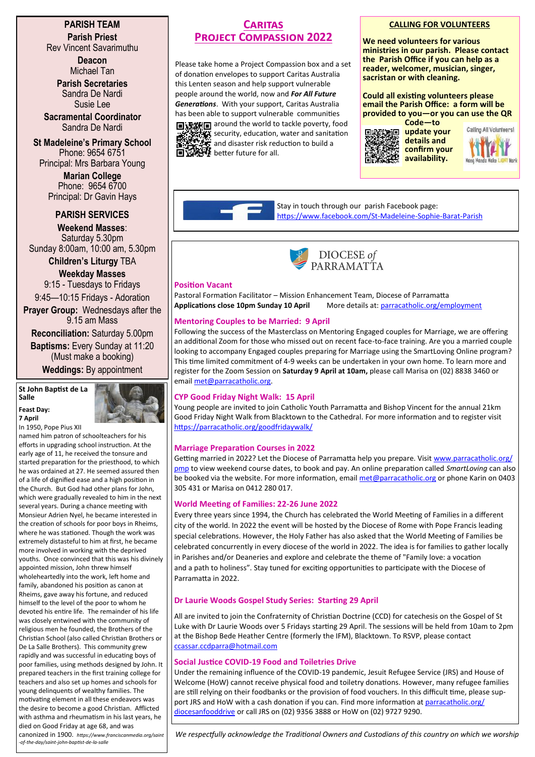# **PARISH TEAM Parish Priest**

Rev Vincent Savarimuthu

**Deacon** Michael Tan

**Parish Secretaries** Sandra De Nardi Susie Lee

**Sacramental Coordinator** Sandra De Nardi

**St Madeleine's Primary School** Phone: 9654 6751 Principal: Mrs Barbara Young

> **Marian College** Phone: 9654 6700 Principal: Dr Gavin Hays

# **PARISH SERVICES**

**Weekend Masses**: Saturday 5.30pm Sunday 8:00am, 10:00 am, 5.30pm

**Children's Liturgy** TBA **Weekday Masses** 

9:15 - Tuesdays to Fridays

9:45—10:15 Fridays - Adoration **Prayer Group:** Wednesdays after the

9.15 am Mass **Reconciliation:** Saturday 5.00pm

**Baptisms:** Every Sunday at 11:20 (Must make a booking)

**Weddings:** By appointment

#### **St John Baptist de La Salle Feast Day:**



**7 April** In 1950, Pope Pius XII

named him patron of schoolteachers for his efforts in upgrading school instruction. At the early age of 11, he received the tonsure and started preparation for the priesthood, to which he was ordained at 27. He seemed assured then of a life of dignified ease and a high position in the Church. But God had other plans for John, which were gradually revealed to him in the next several years. During a chance meeting with Monsieur Adrien Nyel, he became interested in the creation of schools for poor boys in Rheims, where he was stationed. Though the work was extremely distasteful to him at first, he became more involved in working with the deprived youths. Once convinced that this was his divinely appointed mission, John threw himself wholeheartedly into the work, left home and family, abandoned his position as canon at Rheims, gave away his fortune, and reduced himself to the level of the poor to whom he devoted his entire life. The remainder of his life was closely entwined with the community of religious men he founded, the Brothers of the Christian School (also called Christian Brothers or De La Salle Brothers). This community grew rapidly and was successful in educating boys of poor families, using methods designed by John. It prepared teachers in the first training college for teachers and also set up homes and schools for young delinquents of wealthy families. The motivating element in all these endeavors was the desire to become a good Christian. Afflicted with asthma and rheumatism in his last years, he died on Good Friday at age 68, and was

#### canonized in 1900. *https://www.franciscanmedia.org/saint -of-the-day/saint-john-baptist-de-la-salle*

# **Caritas Project Compassion 2022**

Please take home a Project Compassion box and a set of donation envelopes to support Caritas Australia this Lenten season and help support vulnerable people around the world, now and *For All Future Generations*. With your support, Caritas Australia has been able to support vulnerable communities **国深期目** around the world to tackle poverty, food security, education, water and sanitation and disaster risk reduction to build a **better future for all.** 

## **CALLING FOR VOLUNTEERS**

**We need volunteers for various ministries in our parish. Please contact the Parish Office if you can help as a reader, welcomer, musician, singer, sacristan or with cleaning.**

**Could all existing volunteers please email the Parish Office: a form will be provided to you—or you can use the QR Code—to** 



Calling All Volunteers!

Stay in touch through our parish Facebook page: [https://www.facebook.com/St](https://www.facebook.com/St-Madeleine-Sophie-Barat-Parish-172182352871811/)-Madeleine-Sophie-Barat-Parish



#### **Position Vacant**

Pastoral Formation Facilitator – Mission Enhancement Team, Diocese of Parramatta **Applications close 10pm Sunday 10 April** More details at: [parracatholic.org/employment](http://parracatholic.org/employment)

# **Mentoring Couples to be Married: 9 April**

Following the success of the Masterclass on Mentoring Engaged couples for Marriage, we are offering an additional Zoom for those who missed out on recent face-to-face training. Are you a married couple looking to accompany Engaged couples preparing for Marriage using the SmartLoving Online program? This time limited commitment of 4-9 weeks can be undertaken in your own home. To learn more and register for the Zoom Session on **Saturday 9 April at 10am,** please call Marisa on (02) 8838 3460 or email [met@parracatholic.org.](mailto:met@parracatholic.org)

# **CYP Good Friday Night Walk: 15 April**

Young people are invited to join Catholic Youth Parramatta and Bishop Vincent for the annual 21km Good Friday Night Walk from Blacktown to the Cathedral. For more information and to register visit <https://parracatholic.org/goodfridaywalk/>

# **Marriage Preparation Courses in 2022**

Getting married in 2022? Let the Diocese of Parramatta help you prepare. Visit [www.parracatholic.org/](http://www.parracatholic.org/pmp) [pmp](http://www.parracatholic.org/pmp) to view weekend course dates, to book and pay. An online preparation called *SmartLoving* can also be booked via the website. For more information, email [met@parracatholic.org](mailto:met@parracatholic.org) or phone Karin on 0403 305 431 or Marisa on 0412 280 017.

# **World Meeting of Families: 22-26 June 2022**

Every three years since 1994, the Church has celebrated the World Meeting of Families in a different city of the world. In 2022 the event will be hosted by the Diocese of Rome with Pope Francis leading special celebrations. However, the Holy Father has also asked that the World Meeting of Families be celebrated concurrently in every diocese of the world in 2022. The idea is for families to gather locally in Parishes and/or Deaneries and explore and celebrate the theme of "Family love: a vocation and a path to holiness". Stay tuned for exciting opportunities to participate with the Diocese of Parramatta in 2022.

# **Dr Laurie Woods Gospel Study Series: Starting 29 April**

All are invited to join the Confraternity of Christian Doctrine (CCD) for catechesis on the Gospel of St Luke with Dr Laurie Woods over 5 Fridays starting 29 April. The sessions will be held from 10am to 2pm at the Bishop Bede Heather Centre (formerly the IFM), Blacktown. To RSVP, please contact [ccassar.ccdparra@hotmail.com](mailto:ccassar.ccdparra@hotmail.com)

# **Social Justice COVID-19 Food and Toiletries Drive**

Under the remaining influence of the COVID-19 pandemic, Jesuit Refugee Service (JRS) and House of Welcome (HoW) cannot receive physical food and toiletry donations. However, many refugee families are still relying on their foodbanks or the provision of food vouchers. In this difficult time, please support JRS and HoW with a cash donation if you can. Find more information at [parracatholic.org/](http://parracatholic.org/diocesanfooddrive) [diocesanfooddrive](http://parracatholic.org/diocesanfooddrive) or call JRS on (02) 9356 3888 or HoW on (02) 9727 9290.

*We respectfully acknowledge the Traditional Owners and Custodians of this country on which we worship*